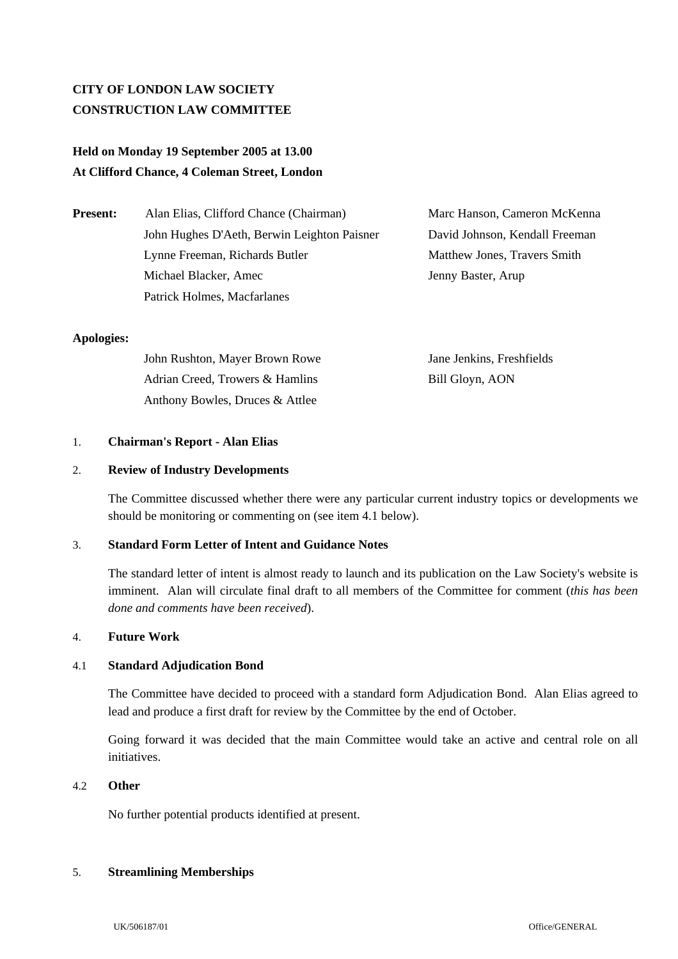# **CITY OF LONDON LAW SOCIETY CONSTRUCTION LAW COMMITTEE**

# **Held on Monday 19 September 2005 at 13.00 At Clifford Chance, 4 Coleman Street, London**

| <b>Present:</b> | Alan Elias, Clifford Chance (Chairman)      |  |
|-----------------|---------------------------------------------|--|
|                 | John Hughes D'Aeth, Berwin Leighton Paisner |  |
|                 | Lynne Freeman, Richards Butler              |  |
|                 | Michael Blacker, Amec                       |  |
|                 | Patrick Holmes, Macfarlanes                 |  |

**Marc Hanson, Cameron McKenna** David Johnson, Kendall Freeman Matthew Jones, Travers Smith Jenny Baster, Arup

# **Apologies:**

| John Rushton, Mayer Brown Rowe  | Jane Jenkins, Freshfields |
|---------------------------------|---------------------------|
| Adrian Creed, Trowers & Hamlins | Bill Gloyn, AON           |
| Anthony Bowles, Druces & Attlee |                           |

# 1. **Chairman's Report - Alan Elias**

# 2. **Review of Industry Developments**

The Committee discussed whether there were any particular current industry topics or developments we should be monitoring or commenting on (see item 4.1 below).

# 3. **Standard Form Letter of Intent and Guidance Notes**

The standard letter of intent is almost ready to launch and its publication on the Law Society's website is imminent. Alan will circulate final draft to all members of the Committee for comment (*this has been done and comments have been received*).

#### 4. **Future Work**

# 4.1 **Standard Adjudication Bond**

The Committee have decided to proceed with a standard form Adjudication Bond. Alan Elias agreed to lead and produce a first draft for review by the Committee by the end of October.

Going forward it was decided that the main Committee would take an active and central role on all initiatives.

# 4.2 **Other**

No further potential products identified at present.

# 5. **Streamlining Memberships**